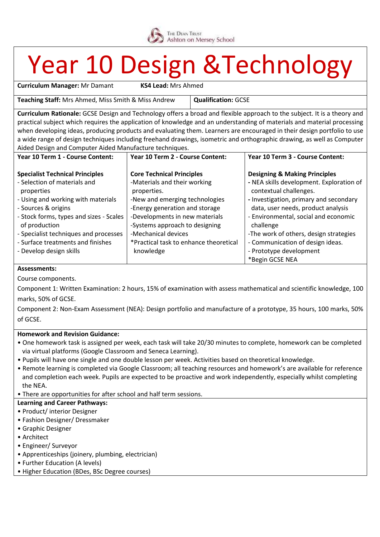

## Year 10 Design &Technology

**Curriculum Manager:** Mr Damant **KS4 Lead:** Mrs Ahmed

**Teaching Staff:** Mrs Ahmed, Miss Smith & Miss Andrew **Qualification:** GCSE

**Curriculum Rationale:** GCSE Design and Technology offers a broad and flexible approach to the subject. It is a theory and practical subject which requires the application of knowledge and an understanding of materials and material processing when developing ideas, producing products and evaluating them. Learners are encouraged in their design portfolio to use a wide range of design techniques including freehand drawings, isometric and orthographic drawing, as well as Computer Aided Design and Computer Aided Manufacture techniques.

| Year 10 Term 1 - Course Content:                         | Year 10 Term 2 - Course Content:                                 | Year 10 Term 3 - Course Content:                                   |
|----------------------------------------------------------|------------------------------------------------------------------|--------------------------------------------------------------------|
| <b>Specialist Technical Principles</b>                   | <b>Core Technical Principles</b>                                 | <b>Designing &amp; Making Principles</b>                           |
| - Selection of materials and<br>properties               | -Materials and their working<br>properties.                      | - NEA skills development. Exploration of<br>contextual challenges. |
| - Using and working with materials                       | -New and emerging technologies                                   | - Investigation, primary and secondary                             |
| - Sources & origins                                      | -Energy generation and storage                                   | data, user needs, product analysis                                 |
| - Stock forms, types and sizes - Scales<br>of production | -Developments in new materials<br>-Systems approach to designing | - Environmental, social and economic<br>challenge                  |
| - Specialist techniques and processes                    | -Mechanical devices                                              | -The work of others, design strategies                             |
| - Surface treatments and finishes                        | *Practical task to enhance theoretical                           | - Communication of design ideas.                                   |
| - Develop design skills                                  | knowledge                                                        | - Prototype development                                            |
|                                                          |                                                                  | *Begin GCSE NEA                                                    |

#### **Assessments:**

Course components.

Component 1: Written Examination: 2 hours, 15% of examination with assess mathematical and scientific knowledge, 100 marks, 50% of GCSE.

Component 2: Non-Exam Assessment (NEA): Design portfolio and manufacture of a prototype, 35 hours, 100 marks, 50% of GCSE.

#### **Homework and Revision Guidance:**

- One homework task is assigned per week, each task will take 20/30 minutes to complete, homework can be completed via virtual platforms (Google Classroom and Seneca Learning).
- Pupils will have one single and one double lesson per week. Activities based on theoretical knowledge.
- Remote learning is completed via Google Classroom; all teaching resources and homework's are available for reference and completion each week. Pupils are expected to be proactive and work independently, especially whilst completing the NEA.

• There are opportunities for after school and half term sessions.

#### **Learning and Career Pathways:**

- Product/ interior Designer
- Fashion Designer/ Dressmaker
- Graphic Designer
- Architect
- Engineer/ Surveyor
- Apprenticeships (joinery, plumbing, electrician)
- Further Education (A levels)
- Higher Education (BDes, BSc Degree courses)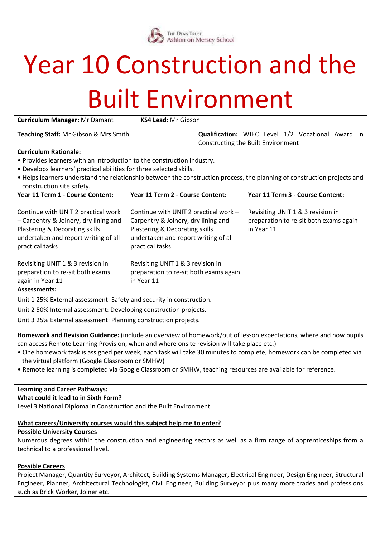

# Year 10 Construction and the

### Built Environment

| <b>Curriculum Manager: Mr Damant</b>  | <b>KS4 Lead: Mr Gibson</b> |                                                |  |  |  |      |
|---------------------------------------|----------------------------|------------------------------------------------|--|--|--|------|
| Teaching Staff: Mr Gibson & Mrs Smith |                            | Qualification: WJEC Level 1/2 Vocational Award |  |  |  | in l |
|                                       |                            | Constructing the Built Environment             |  |  |  |      |
|                                       |                            |                                                |  |  |  |      |

#### **Curriculum Rationale:**

- Provides learners with an introduction to the construction industry.
- Develops learners' practical abilities for three selected skills.
- Helps learners understand the relationship between the construction process, the planning of construction projects and construction site safety.

| Year 11 Term 1 - Course Content:                                                                                                                                          | Year 11 Term 2 - Course Content:                                                                                                                                          | Year 11 Term 3 - Course Content:                                                          |  |  |
|---------------------------------------------------------------------------------------------------------------------------------------------------------------------------|---------------------------------------------------------------------------------------------------------------------------------------------------------------------------|-------------------------------------------------------------------------------------------|--|--|
| Continue with UNIT 2 practical work<br>- Carpentry & Joinery, dry lining and<br>Plastering & Decorating skills<br>undertaken and report writing of all<br>practical tasks | Continue with UNIT 2 practical work -<br>Carpentry & Joinery, dry lining and<br>Plastering & Decorating skills<br>undertaken and report writing of all<br>practical tasks | Revisiting UNIT 1 & 3 revision in<br>preparation to re-sit both exams again<br>in Year 11 |  |  |
| Revisiting UNIT 1 & 3 revision in<br>preparation to re-sit both exams<br>again in Year 11                                                                                 | Revisiting UNIT 1 & 3 revision in<br>preparation to re-sit both exams again<br>in Year 11                                                                                 |                                                                                           |  |  |

#### **Assessments:**

Unit 1 25% External assessment: Safety and security in construction.

Unit 2 50% Internal assessment: Developing construction projects.

Unit 3 25% External assessment: Planning construction projects.

**Homework and Revision Guidance:** (include an overview of homework/out of lesson expectations, where and how pupils can access Remote Learning Provision, when and where onsite revision will take place etc.)

- One homework task is assigned per week, each task will take 30 minutes to complete, homework can be completed via the virtual platform (Google Classroom or SMHW)
- Remote learning is completed via Google Classroom or SMHW, teaching resources are available for reference.

#### **Learning and Career Pathways:**

#### **What could it lead to in Sixth Form?**

Level 3 National Diploma in Construction and the Built Environment

#### **What careers/University courses would this subject help me to enter?**

#### **Possible University Courses**

Numerous degrees within the construction and engineering sectors as well as a firm range of apprenticeships from a technical to a professional level.

#### **Possible Careers**

Project Manager, Quantity Surveyor, Architect, Building Systems Manager, Electrical Engineer, Design Engineer, Structural Engineer, Planner, Architectural Technologist, Civil Engineer, Building Surveyor plus many more trades and professions such as Brick Worker, Joiner etc.